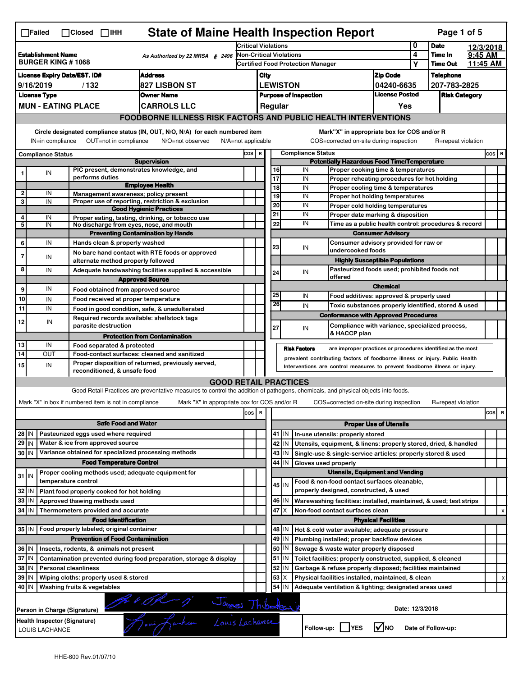| <b>State of Maine Health Inspection Report</b><br>Page 1 of 5<br>$\Box$ Failed<br>$\Box$ Closed $\Box$ IHH |                                                       |                                                       |                                                                                                                                   |                                                                              |                         |  |                 |                              |                                                                                               |                                       |                            |                      |          |           |
|------------------------------------------------------------------------------------------------------------|-------------------------------------------------------|-------------------------------------------------------|-----------------------------------------------------------------------------------------------------------------------------------|------------------------------------------------------------------------------|-------------------------|--|-----------------|------------------------------|-----------------------------------------------------------------------------------------------|---------------------------------------|----------------------------|----------------------|----------|-----------|
|                                                                                                            |                                                       |                                                       |                                                                                                                                   | <b>Critical Violations</b>                                                   |                         |  |                 |                              |                                                                                               |                                       | 0                          | <b>Date</b>          |          | 12/3/2018 |
| <b>Establishment Name</b><br>As Authorized by 22 MRSA § 2496<br><b>BURGER KING #1068</b>                   |                                                       |                                                       |                                                                                                                                   | <b>Non-Critical Violations</b><br>Certified Food Protection Manager          |                         |  |                 |                              |                                                                                               | 4                                     | Time In<br><b>Time Out</b> | 9:45 AM              | 11:45 AM |           |
|                                                                                                            | <b>Address</b><br><b>License Expiry Date/EST. ID#</b> |                                                       |                                                                                                                                   |                                                                              |                         |  |                 |                              |                                                                                               | <b>Zip Code</b>                       | Υ                          | <b>Telephone</b>     |          |           |
|                                                                                                            | 9/16/2019                                             | / 132                                                 | 827 LISBON ST                                                                                                                     |                                                                              | City                    |  | <b>LEWISTON</b> |                              |                                                                                               | 04240-6635                            |                            | 207-783-2825         |          |           |
|                                                                                                            | <b>License Type</b>                                   |                                                       | <b>Owner Name</b>                                                                                                                 |                                                                              |                         |  |                 | <b>Purpose of Inspection</b> |                                                                                               | <b>License Posted</b>                 |                            | <b>Risk Category</b> |          |           |
|                                                                                                            |                                                       | <b>MUN - EATING PLACE</b>                             | <b>CARROLS LLC</b>                                                                                                                |                                                                              | Regular<br>Yes          |  |                 |                              |                                                                                               |                                       |                            |                      |          |           |
|                                                                                                            |                                                       |                                                       | <b>FOODBORNE ILLNESS RISK FACTORS AND PUBLIC HEALTH INTERVENTIONS</b>                                                             |                                                                              |                         |  |                 |                              |                                                                                               |                                       |                            |                      |          |           |
|                                                                                                            | IN=in compliance                                      |                                                       | Circle designated compliance status (IN, OUT, N/O, N/A) for each numbered item<br>OUT=not in compliance<br>N/O=not observed       | N/A=not applicable                                                           |                         |  |                 |                              | Mark"X" in appropriate box for COS and/or R<br>COS=corrected on-site during inspection        |                                       |                            | R=repeat violation   |          |           |
|                                                                                                            | <b>Compliance Status</b>                              |                                                       |                                                                                                                                   | COS R                                                                        |                         |  |                 | <b>Compliance Status</b>     |                                                                                               |                                       |                            |                      |          | $cos$ R   |
|                                                                                                            |                                                       |                                                       | <b>Supervision</b>                                                                                                                |                                                                              |                         |  |                 |                              | <b>Potentially Hazardous Food Time/Temperature</b>                                            |                                       |                            |                      |          |           |
| 1                                                                                                          | IN                                                    | performs duties                                       | PIC present, demonstrates knowledge, and                                                                                          |                                                                              |                         |  | 16<br>17        | IN<br>IN                     | Proper cooking time & temperatures<br>Proper reheating procedures for hot holding             |                                       |                            |                      |          |           |
|                                                                                                            |                                                       |                                                       | <b>Employee Health</b>                                                                                                            |                                                                              |                         |  | 18              | IN                           | Proper cooling time & temperatures                                                            |                                       |                            |                      |          |           |
|                                                                                                            | IN                                                    |                                                       | Management awareness; policy present                                                                                              |                                                                              |                         |  | 19              | IN                           | Proper hot holding temperatures                                                               |                                       |                            |                      |          |           |
| 3                                                                                                          | IN                                                    |                                                       | Proper use of reporting, restriction & exclusion<br><b>Good Hygienic Practices</b>                                                |                                                                              |                         |  | 20              | IN                           | Proper cold holding temperatures                                                              |                                       |                            |                      |          |           |
| 4                                                                                                          | IN                                                    |                                                       | Proper eating, tasting, drinking, or tobacco use                                                                                  |                                                                              |                         |  | 21              | IN                           | Proper date marking & disposition                                                             |                                       |                            |                      |          |           |
| 5                                                                                                          | IN                                                    |                                                       | No discharge from eyes, nose, and mouth                                                                                           |                                                                              |                         |  | 22              | IN                           | Time as a public health control: procedures & record                                          |                                       |                            |                      |          |           |
|                                                                                                            |                                                       |                                                       | <b>Preventing Contamination by Hands</b>                                                                                          |                                                                              |                         |  |                 |                              |                                                                                               | <b>Consumer Advisory</b>              |                            |                      |          |           |
| 6                                                                                                          | IN                                                    |                                                       | Hands clean & properly washed                                                                                                     |                                                                              |                         |  | 23              | IN                           | Consumer advisory provided for raw or<br>undercooked foods                                    |                                       |                            |                      |          |           |
| $\overline{7}$                                                                                             | IN                                                    |                                                       | No bare hand contact with RTE foods or approved<br>alternate method properly followed                                             |                                                                              |                         |  |                 |                              |                                                                                               | <b>Highly Susceptible Populations</b> |                            |                      |          |           |
| 8                                                                                                          | IN                                                    |                                                       | Adequate handwashing facilities supplied & accessible                                                                             |                                                                              |                         |  | 24              | IN                           | Pasteurized foods used; prohibited foods not                                                  |                                       |                            |                      |          |           |
|                                                                                                            |                                                       |                                                       | <b>Approved Source</b>                                                                                                            |                                                                              |                         |  |                 |                              | offered                                                                                       |                                       |                            |                      |          |           |
| 9                                                                                                          | IN                                                    |                                                       | Food obtained from approved source                                                                                                |                                                                              |                         |  |                 |                              |                                                                                               | <b>Chemical</b>                       |                            |                      |          |           |
| 10                                                                                                         | IN                                                    |                                                       | Food received at proper temperature                                                                                               |                                                                              |                         |  | 25<br>26        | IN                           | Food additives: approved & properly used                                                      |                                       |                            |                      |          |           |
| 11                                                                                                         | IN                                                    |                                                       | Food in good condition, safe, & unadulterated                                                                                     |                                                                              |                         |  |                 | IN                           | Toxic substances properly identified, stored & used                                           |                                       |                            |                      |          |           |
| 12                                                                                                         | IN                                                    | parasite destruction                                  | Required records available: shellstock tags                                                                                       |                                                                              |                         |  | 27              | IN                           | <b>Conformance with Approved Procedures</b><br>Compliance with variance, specialized process, |                                       |                            |                      |          |           |
|                                                                                                            |                                                       |                                                       | <b>Protection from Contamination</b>                                                                                              |                                                                              |                         |  |                 |                              | & HACCP plan                                                                                  |                                       |                            |                      |          |           |
| 13                                                                                                         | IN                                                    | Food separated & protected                            |                                                                                                                                   |                                                                              |                         |  |                 | <b>Risk Factors</b>          | are improper practices or procedures identified as the most                                   |                                       |                            |                      |          |           |
| 14                                                                                                         | OUT                                                   |                                                       | Food-contact surfaces: cleaned and sanitized<br>Proper disposition of returned, previously served,                                | prevalent contributing factors of foodborne illness or injury. Public Health |                         |  |                 |                              |                                                                                               |                                       |                            |                      |          |           |
| 15                                                                                                         | IN                                                    | reconditioned, & unsafe food                          |                                                                                                                                   |                                                                              |                         |  |                 |                              | Interventions are control measures to prevent foodborne illness or injury.                    |                                       |                            |                      |          |           |
|                                                                                                            |                                                       |                                                       | <b>GOOD RETAIL PRACTICES</b>                                                                                                      |                                                                              |                         |  |                 |                              |                                                                                               |                                       |                            |                      |          |           |
|                                                                                                            |                                                       |                                                       | Good Retail Practices are preventative measures to control the addition of pathogens, chemicals, and physical objects into foods. |                                                                              |                         |  |                 |                              |                                                                                               |                                       |                            |                      |          |           |
|                                                                                                            |                                                       | Mark "X" in box if numbered item is not in compliance | Mark "X" in appropriate box for COS and/or R                                                                                      |                                                                              |                         |  |                 |                              | COS=corrected on-site during inspection                                                       |                                       |                            | R=repeat violation   |          |           |
|                                                                                                            |                                                       |                                                       |                                                                                                                                   | cos                                                                          | $\overline{\mathbf{R}}$ |  |                 |                              |                                                                                               |                                       |                            |                      |          | cos<br>R  |
|                                                                                                            |                                                       |                                                       | <b>Safe Food and Water</b>                                                                                                        |                                                                              |                         |  |                 |                              |                                                                                               | <b>Proper Use of Utensils</b>         |                            |                      |          |           |
| 28 IN                                                                                                      |                                                       | Pasteurized eggs used where required                  |                                                                                                                                   |                                                                              |                         |  | 41 J IN         |                              | In-use utensils: properly stored                                                              |                                       |                            |                      |          |           |
| $29$ IN                                                                                                    |                                                       | Water & ice from approved source                      |                                                                                                                                   |                                                                              |                         |  | 42 IN           |                              | Utensils, equipment, & linens: properly stored, dried, & handled                              |                                       |                            |                      |          |           |
| 30 IN                                                                                                      |                                                       |                                                       | Variance obtained for specialized processing methods                                                                              |                                                                              |                         |  | 43   IN         |                              | Single-use & single-service articles: properly stored & used                                  |                                       |                            |                      |          |           |
|                                                                                                            |                                                       |                                                       | <b>Food Temperature Control</b>                                                                                                   |                                                                              |                         |  | 44<br>IN        | Gloves used properly         |                                                                                               |                                       |                            |                      |          |           |
| $31$ IN                                                                                                    |                                                       | temperature control                                   | Proper cooling methods used; adequate equipment for                                                                               |                                                                              |                         |  |                 |                              | <b>Utensils, Equipment and Vending</b>                                                        |                                       |                            |                      |          |           |
| 32                                                                                                         | IN                                                    | Plant food properly cooked for hot holding            |                                                                                                                                   |                                                                              |                         |  | $45$ IN         |                              | Food & non-food contact surfaces cleanable,<br>properly designed, constructed, & used         |                                       |                            |                      |          |           |
| 33                                                                                                         | IN                                                    | Approved thawing methods used                         |                                                                                                                                   |                                                                              |                         |  | 46 IN           |                              | Warewashing facilities: installed, maintained, & used; test strips                            |                                       |                            |                      |          |           |
| 34                                                                                                         | l IN                                                  | Thermometers provided and accurate                    |                                                                                                                                   |                                                                              |                         |  | 47 I X          |                              | Non-food contact surfaces clean                                                               |                                       |                            |                      |          |           |
|                                                                                                            |                                                       |                                                       | <b>Food Identification</b>                                                                                                        |                                                                              |                         |  |                 |                              |                                                                                               | <b>Physical Facilities</b>            |                            |                      |          |           |
|                                                                                                            |                                                       | 35 IN   Food properly labeled; original container     |                                                                                                                                   |                                                                              |                         |  | 48   IN         |                              | Hot & cold water available; adequate pressure                                                 |                                       |                            |                      |          |           |
|                                                                                                            |                                                       |                                                       | <b>Prevention of Food Contamination</b>                                                                                           |                                                                              |                         |  | 49<br>IN        |                              | Plumbing installed; proper backflow devices                                                   |                                       |                            |                      |          |           |
| 36 IN                                                                                                      |                                                       | Insects, rodents, & animals not present               |                                                                                                                                   |                                                                              |                         |  | 50<br>IN        |                              | Sewage & waste water properly disposed                                                        |                                       |                            |                      |          |           |
| 37 IN                                                                                                      |                                                       |                                                       | Contamination prevented during food preparation, storage & display                                                                |                                                                              |                         |  | $51$ $\vert$ IN |                              | Toilet facilities: properly constructed, supplied, & cleaned                                  |                                       |                            |                      |          |           |
| 38                                                                                                         | ΙM                                                    | <b>Personal cleanliness</b>                           |                                                                                                                                   |                                                                              |                         |  | 52<br>ΙN        |                              | Garbage & refuse properly disposed; facilities maintained                                     |                                       |                            |                      |          |           |
| 39                                                                                                         | ΙM                                                    | Wiping cloths: properly used & stored                 |                                                                                                                                   |                                                                              |                         |  | 53<br>х         |                              | Physical facilities installed, maintained, & clean                                            |                                       |                            |                      |          |           |
| 40 IN                                                                                                      |                                                       | Washing fruits & vegetables                           |                                                                                                                                   |                                                                              |                         |  | 54<br>IN        |                              | Adequate ventilation & lighting; designated areas used                                        |                                       |                            |                      |          |           |
|                                                                                                            |                                                       |                                                       |                                                                                                                                   |                                                                              |                         |  |                 |                              |                                                                                               |                                       |                            |                      |          |           |
|                                                                                                            |                                                       | Person in Charge (Signature)                          | 2002 - 1 James Thibadaux                                                                                                          |                                                                              |                         |  |                 |                              |                                                                                               | Date: 12/3/2018                       |                            |                      |          |           |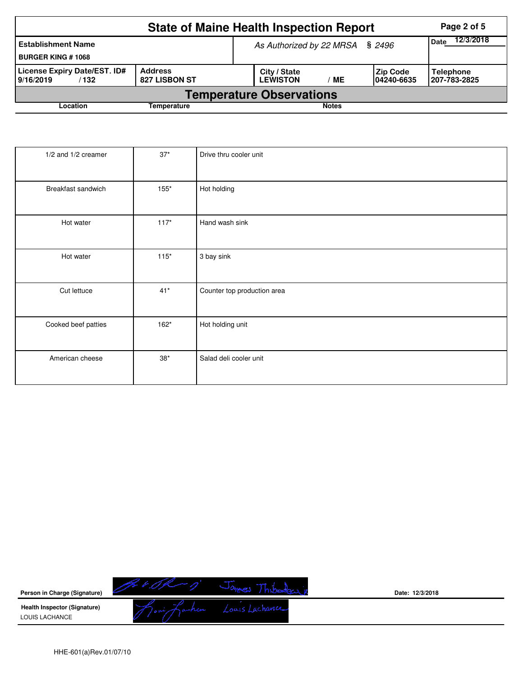|                                                       |                          | <b>State of Maine Health Inspection Report</b> | Page 2 of 5                                                         |  |  |  |  |  |  |  |
|-------------------------------------------------------|--------------------------|------------------------------------------------|---------------------------------------------------------------------|--|--|--|--|--|--|--|
| <b>Establishment Name</b><br><b>BURGER KING #1068</b> |                          | As Authorized by 22 MRSA § 2496                | 12/3/2018<br><b>Date</b>                                            |  |  |  |  |  |  |  |
| License Expiry Date/EST. ID#<br>9/16/2019<br>/ 132    | Address<br>827 LISBON ST | City / State<br><b>LEWISTON</b><br>МE          | <b>Zip Code</b><br><b>Telephone</b><br>1207-783-2825<br>104240-6635 |  |  |  |  |  |  |  |
| <b>Temperature Observations</b>                       |                          |                                                |                                                                     |  |  |  |  |  |  |  |
| Location                                              | Temperature              | <b>Notes</b>                                   |                                                                     |  |  |  |  |  |  |  |

| 1/2 and 1/2 creamer | $37*$       | Drive thru cooler unit      |
|---------------------|-------------|-----------------------------|
| Breakfast sandwich  | $155*$      | Hot holding                 |
| Hot water           | $117*$      | Hand wash sink              |
| Hot water           | $115*$      | 3 bay sink                  |
| Cut lettuce         | $41*$       | Counter top production area |
| Cooked beef patties | $162*$      | Hot holding unit            |
| American cheese     | $38^{\ast}$ | Salad deli cooler unit      |

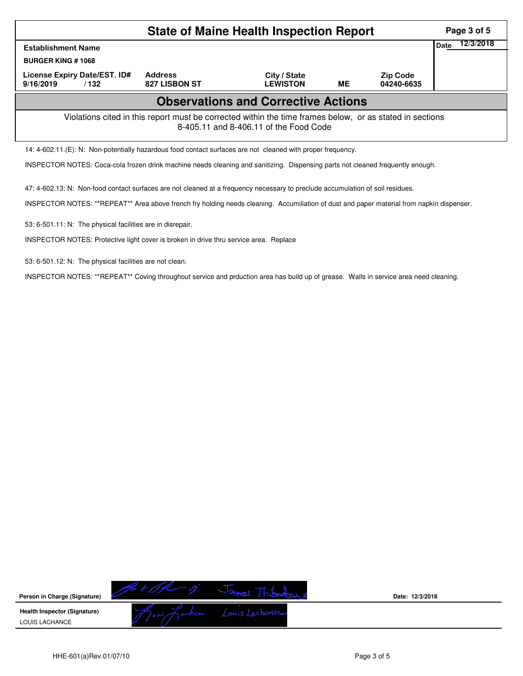|                                                                                                                                                    | Page 3 of 5                     |                                 |    |                               |  |  |  |  |  |
|----------------------------------------------------------------------------------------------------------------------------------------------------|---------------------------------|---------------------------------|----|-------------------------------|--|--|--|--|--|
| <b>Establishment Name</b>                                                                                                                          | <b>Date</b>                     | 12/3/2018                       |    |                               |  |  |  |  |  |
| <b>BURGER KING #1068</b>                                                                                                                           |                                 |                                 |    |                               |  |  |  |  |  |
| License Expiry Date/EST. ID#<br>9/16/2019<br>/132                                                                                                  | <b>Address</b><br>827 LISBON ST | City / State<br><b>LEWISTON</b> | ME | <b>Zip Code</b><br>04240-6635 |  |  |  |  |  |
| <b>Observations and Corrective Actions</b>                                                                                                         |                                 |                                 |    |                               |  |  |  |  |  |
| Violations cited in this report must be corrected within the time frames below, or as stated in sections<br>8-405.11 and 8-406.11 of the Food Code |                                 |                                 |    |                               |  |  |  |  |  |
| 14: 4-602.11.(E): N: Non-potentially hazardous food contact surfaces are not cleaned with proper frequency.                                        |                                 |                                 |    |                               |  |  |  |  |  |

INSPECTOR NOTES: Coca-cola frozen drink machine needs cleaning and sanitizing. Dispensing parts not cleaned frequently enough.

47: 4-602.13: N: Non-food contact surfaces are not cleaned at a frequency necessary to preclude accumulation of soil residues.

INSPECTOR NOTES: \*\*REPEAT\*\* Area above french fry holding needs cleaning. Accumiliation of dust and paper material from napkin dispenser.

53: 6-501.11: N: The physical facilities are in disrepair.

INSPECTOR NOTES: Protective light cover is broken in drive thru service area. Replace

53: 6-501.12: N: The physical facilities are not clean.

INSPECTOR NOTES: \*\*REPEAT\*\* Coving throughout service and prduction area has build up of grease. Walls in service area need cleaning.

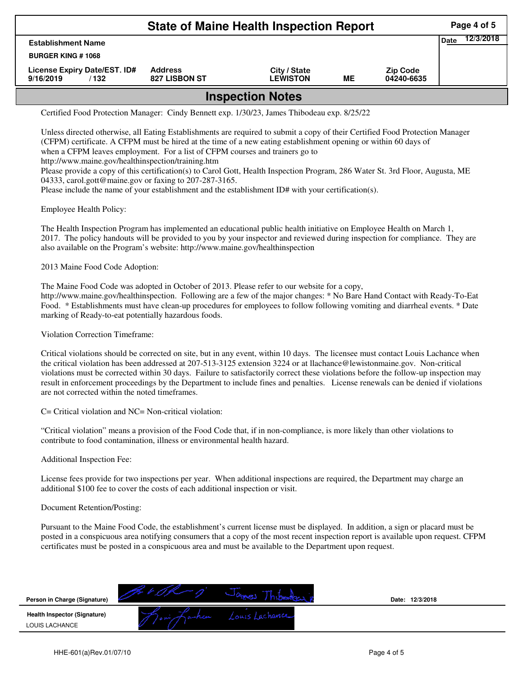| <b>State of Maine Health Inspection Report</b>    |                                 |                                 |    |                               |             |           |  |  |  |
|---------------------------------------------------|---------------------------------|---------------------------------|----|-------------------------------|-------------|-----------|--|--|--|
| <b>Establishment Name</b>                         |                                 |                                 |    |                               | <b>Date</b> | 12/3/2018 |  |  |  |
| <b>BURGER KING #1068</b>                          |                                 |                                 |    |                               |             |           |  |  |  |
| License Expiry Date/EST. ID#<br>9/16/2019<br>/132 | <b>Address</b><br>827 LISBON ST | City / State<br><b>LEWISTON</b> | MЕ | <b>Zip Code</b><br>04240-6635 |             |           |  |  |  |
| الممالم الاسمية المممومية                         |                                 |                                 |    |                               |             |           |  |  |  |

## **Inspection Notes**

Certified Food Protection Manager: Cindy Bennett exp. 1/30/23, James Thibodeau exp. 8/25/22

Unless directed otherwise, all Eating Establishments are required to submit a copy of their Certified Food Protection Manager (CFPM) certificate. A CFPM must be hired at the time of a new eating establishment opening or within 60 days of when a CFPM leaves employment. For a list of CFPM courses and trainers go to http://www.maine.gov/healthinspection/training.htm Please provide a copy of this certification(s) to Carol Gott, Health Inspection Program, 286 Water St. 3rd Floor, Augusta, ME 04333, carol.gott@maine.gov or faxing to 207-287-3165.

Please include the name of your establishment and the establishment ID# with your certification(s).

Employee Health Policy:

The Health Inspection Program has implemented an educational public health initiative on Employee Health on March 1, 2017. The policy handouts will be provided to you by your inspector and reviewed during inspection for compliance. They are also available on the Program's website: http://www.maine.gov/healthinspection

2013 Maine Food Code Adoption:

The Maine Food Code was adopted in October of 2013. Please refer to our website for a copy, http://www.maine.gov/healthinspection. Following are a few of the major changes: \* No Bare Hand Contact with Ready-To-Eat Food. \* Establishments must have clean-up procedures for employees to follow following vomiting and diarrheal events. \* Date marking of Ready-to-eat potentially hazardous foods.

Violation Correction Timeframe:

Critical violations should be corrected on site, but in any event, within 10 days. The licensee must contact Louis Lachance when the critical violation has been addressed at 207-513-3125 extension 3224 or at llachance@lewistonmaine.gov. Non-critical violations must be corrected within 30 days. Failure to satisfactorily correct these violations before the follow-up inspection may result in enforcement proceedings by the Department to include fines and penalties. License renewals can be denied if violations are not corrected within the noted timeframes.

C= Critical violation and NC= Non-critical violation:

"Critical violation" means a provision of the Food Code that, if in non-compliance, is more likely than other violations to contribute to food contamination, illness or environmental health hazard.

Additional Inspection Fee:

License fees provide for two inspections per year. When additional inspections are required, the Department may charge an additional \$100 fee to cover the costs of each additional inspection or visit.

## Document Retention/Posting:

Pursuant to the Maine Food Code, the establishment's current license must be displayed. In addition, a sign or placard must be posted in a conspicuous area notifying consumers that a copy of the most recent inspection report is available upon request. CFPM certificates must be posted in a conspicuous area and must be available to the Department upon request.